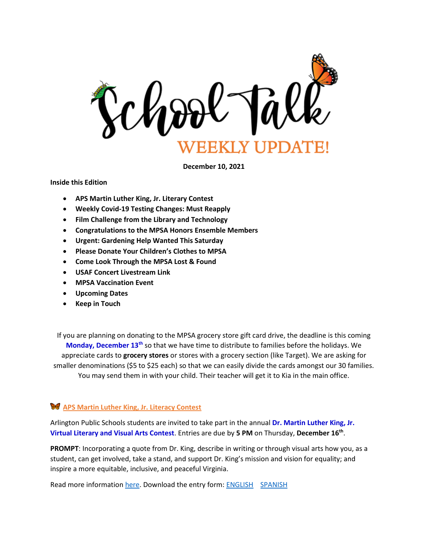

**December 10, 2021**

**Inside this Edition**

- **APS Martin Luther King, Jr. Literary Contest**
- **Weekly Covid-19 Testing Changes: Must Reapply**
- **Film Challenge from the Library and Technology**
- **Congratulations to the MPSA Honors Ensemble Members**
- **Urgent: Gardening Help Wanted This Saturday**
- **Please Donate Your Children's Clothes to MPSA**
- **Come Look Through the MPSA Lost & Found**
- **USAF Concert Livestream Link**
- **MPSA Vaccination Event**
- **Upcoming Dates**
- **Keep in Touch**

If you are planning on donating to the MPSA grocery store gift card drive, the deadline is this coming **Monday, December 13th** so that we have time to distribute to families before the holidays. We appreciate cards to **grocery stores** or stores with a grocery section (like Target). We are asking for smaller denominations (\$5 to \$25 each) so that we can easily divide the cards amongst our 30 families. You may send them in with your child. Their teacher will get it to Kia in the main office.

### **APS Martin Luther King, Jr. Literacy Contest**

Arlington Public Schools students are invited to take part in the annual **Dr. Martin Luther King, Jr. Virtual Literary and Visual Arts Contest**. Entries are due by **5 PM** on Thursday, **December 16th** .

**PROMPT**: Incorporating a quote from Dr. King, describe in writing or through visual arts how you, as a student, can get involved, take a stand, and support Dr. King's mission and vision for equality; and inspire a more equitable, inclusive, and peaceful Virginia.

Read more information [here.](https://www.apsva.us/mlk-contest/) Download the entry form: [ENGLISH](http://track.spe.schoolmessenger.com/f/a/hpJ4-hPURC2QmiUAEqjSVA~~/AAAAAQA~/RgRjlTESP0R1aHR0cHM6Ly9tc2cuc2Nob29sbWVzc2VuZ2VyLmNvbS9tLz9zPUZKb2QwNC1EYmU0Jm1hbD03MDc1ZGIyYzczNWU5NTVmY2NhZWQzODcwMDRmYThlNDkwOGI4MjUzM2IzNjVhMGI3ODMyZGEwZjAzMmViMzgwVwdzY2hvb2xtQgphspL9s2EdS1TRUhxraWEuc3RldmVuc29uaGF5bmVzQGFwc3ZhLnVzWAQAAAAB) [SPANISH](http://track.spe.schoolmessenger.com/f/a/9_v48-95cfYPaeC_b2dxRA~~/AAAAAQA~/RgRjlTESP0R1aHR0cHM6Ly9tc2cuc2Nob29sbWVzc2VuZ2VyLmNvbS9tLz9zPUZKb2QwNC1EYmU0Jm1hbD02NzE5M2ExMjIwYTQyYTI0MDE1N2M4OTQyOWNlNTY0YzA4MGM1YmIwYWM3YjM0ODc1NTk4M2ZjZTkzOGNkOTFkVwdzY2hvb2xtQgphspL9s2EdS1TRUhxraWEuc3RldmVuc29uaGF5bmVzQGFwc3ZhLnVzWAQAAAAB)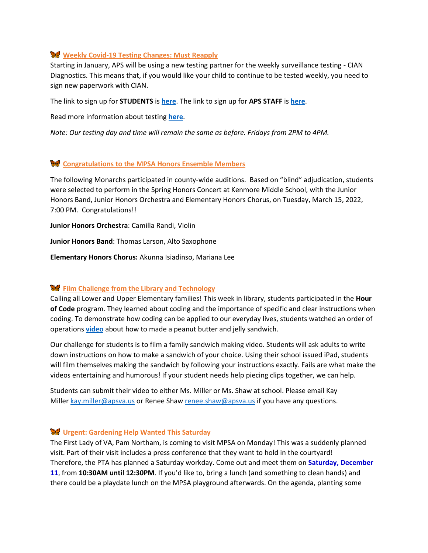### **Weekly Covid-19 Testing Changes: Must Reapply**

Starting in January, APS will be using a new testing partner for the weekly surveillance testing - CIAN Diagnostics. This means that, if you would like your child to continue to be tested weekly, you need to sign new paperwork with CIAN.

The link to sign up for **STUDENTS** is **[here](https://www.cognitoforms.com/CIANDiagnostics1/visstatestingprogramconsentformapsstudents)**. The link to sign up for **APS STAFF** is **[here](https://www.cognitoforms.com/CIANDiagnostics1/visstatestingprogramconsentformapsstaff)**.

Read more information about testing **[here](https://www.apsva.us/school-year-2021-22/health-safety-information/covid-19-testing/)**.

*Note: Our testing day and time will remain the same as before. Fridays from 2PM to 4PM.*

### **Congratulations to the MPSA Honors Ensemble Members**

The following Monarchs participated in county-wide auditions. Based on "blind" adjudication, students were selected to perform in the Spring Honors Concert at Kenmore Middle School, with the Junior Honors Band, Junior Honors Orchestra and Elementary Honors Chorus, on Tuesday, March 15, 2022, 7:00 PM. Congratulations!!

**Junior Honors Orchestra**: Camilla Randi, Violin

**Junior Honors Band**: Thomas Larson, Alto Saxophone

**Elementary Honors Chorus:** Akunna Isiadinso, Mariana Lee

#### $\mathbf{\hat{F}}$  Film Challenge from the Library and Technology

Calling all Lower and Upper Elementary families! This week in library, students participated in the **Hour of Code** program. They learned about coding and the importance of specific and clear instructions when coding. To demonstrate how coding can be applied to our everyday lives, students watched an order of operations **[video](https://www.youtube.com/watch?v=FN2RM-CHkuI)** about how to made a peanut butter and jelly sandwich.

Our challenge for students is to film a family sandwich making video. Students will ask adults to write down instructions on how to make a sandwich of your choice. Using their school issued iPad, students will film themselves making the sandwich by following your instructions exactly. Fails are what make the videos entertaining and humorous! If your student needs help piecing clips together, we can help.

Students can submit their video to either Ms. Miller or Ms. Shaw at school. Please email Kay Miller [kay.miller@apsva.us](mailto:kay.miller@apsva.us) or Renee Shaw [renee.shaw@apsva.us](mailto:renee.shaw@apsva.us) if you have any questions.

## **Urgent: Gardening Help Wanted This Saturday**

The First Lady of VA, Pam Northam, is coming to visit MPSA on Monday! This was a suddenly planned visit. Part of their visit includes a press conference that they want to hold in the courtyard! Therefore, the PTA has planned a Saturday workday. Come out and meet them on **Saturday, December 11**, from **10:30AM until 12:30PM**. If you'd like to, bring a lunch (and something to clean hands) and there could be a playdate lunch on the MPSA playground afterwards. On the agenda, planting some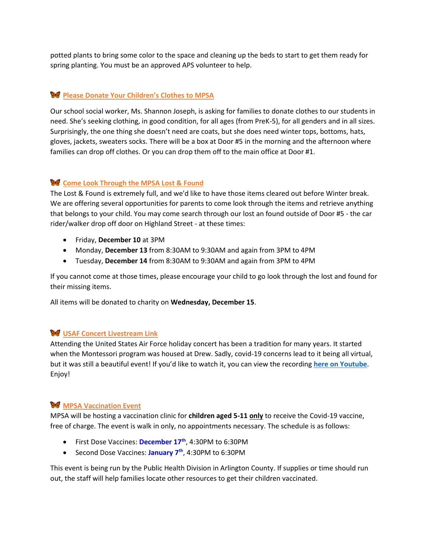potted plants to bring some color to the space and cleaning up the beds to start to get them ready for spring planting. You must be an approved APS volunteer to help.

# **Please Donate Your Children's Clothes to MPSA**

Our school social worker, Ms. Shannon Joseph, is asking for families to donate clothes to our students in need. She's seeking clothing, in good condition, for all ages (from PreK-5), for all genders and in all sizes. Surprisingly, the one thing she doesn't need are coats, but she does need winter tops, bottoms, hats, gloves, jackets, sweaters socks. There will be a box at Door #5 in the morning and the afternoon where families can drop off clothes. Or you can drop them off to the main office at Door #1.

## **Come Look Through the MPSA Lost & Found**

The Lost & Found is extremely full, and we'd like to have those items cleared out before Winter break. We are offering several opportunities for parents to come look through the items and retrieve anything that belongs to your child. You may come search through our lost an found outside of Door #5 - the car rider/walker drop off door on Highland Street - at these times:

- Friday, **December 10** at 3PM
- Monday, **December 13** from 8:30AM to 9:30AM and again from 3PM to 4PM
- Tuesday, **December 14** from 8:30AM to 9:30AM and again from 3PM to 4PM

If you cannot come at those times, please encourage your child to go look through the lost and found for their missing items.

All items will be donated to charity on **Wednesday, December 15**.

# **USAF Concert Livestream Link**

Attending the United States Air Force holiday concert has been a tradition for many years. It started when the Montessori program was housed at Drew. Sadly, covid-19 concerns lead to it being all virtual, but it was still a beautiful event! If you'd like to watch it, you can view the recording **[here on Youtube](https://youtu.be/5UpeWnLJKCM)**. Enjoy!

### **W** MPSA Vaccination Event

MPSA will be hosting a vaccination clinic for **children aged 5-11 only** to receive the Covid-19 vaccine, free of charge. The event is walk in only, no appointments necessary. The schedule is as follows:

- First Dose Vaccines: **December 17th**, 4:30PM to 6:30PM
- Second Dose Vaccines: **January 7th**, 4:30PM to 6:30PM

This event is being run by the Public Health Division in Arlington County. If supplies or time should run out, the staff will help families locate other resources to get their children vaccinated.